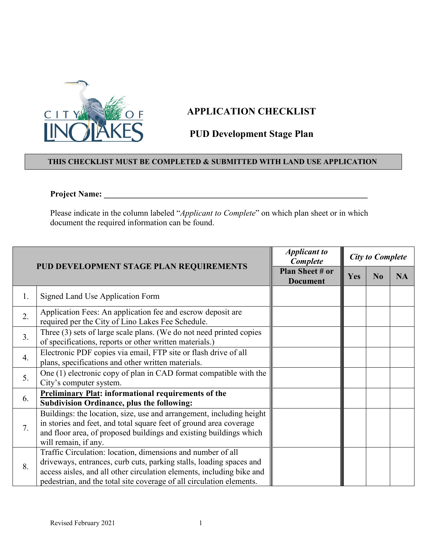

## **APPLICATION CHECKLIST**

## **PUD Development Stage Plan**

## **THIS CHECKLIST MUST BE COMPLETED & SUBMITTED WITH LAND USE APPLICATION**

## **Project Name: \_\_\_\_\_\_\_\_\_\_\_\_\_\_\_\_\_\_\_\_\_\_\_\_\_\_\_\_\_\_\_\_\_\_\_\_\_\_\_\_\_\_\_\_\_\_\_\_\_\_\_\_\_\_\_\_\_\_\_\_\_\_\_**

Please indicate in the column labeled "*Applicant to Complete*" on which plan sheet or in which document the required information can be found.

| PUD DEVELOPMENT STAGE PLAN REQUIREMENTS |                                                                                                                                                                                                                                                                                     | <b>Applicant to</b><br>Complete           | <b>City to Complete</b> |                |           |
|-----------------------------------------|-------------------------------------------------------------------------------------------------------------------------------------------------------------------------------------------------------------------------------------------------------------------------------------|-------------------------------------------|-------------------------|----------------|-----------|
|                                         |                                                                                                                                                                                                                                                                                     | <b>Plan Sheet # or</b><br><b>Document</b> | <b>Yes</b>              | N <sub>0</sub> | <b>NA</b> |
| 1.                                      | Signed Land Use Application Form                                                                                                                                                                                                                                                    |                                           |                         |                |           |
| 2.                                      | Application Fees: An application fee and escrow deposit are<br>required per the City of Lino Lakes Fee Schedule.                                                                                                                                                                    |                                           |                         |                |           |
| 3.                                      | Three $(3)$ sets of large scale plans. (We do not need printed copies<br>of specifications, reports or other written materials.)                                                                                                                                                    |                                           |                         |                |           |
| $\overline{4}$ .                        | Electronic PDF copies via email, FTP site or flash drive of all<br>plans, specifications and other written materials.                                                                                                                                                               |                                           |                         |                |           |
| 5.                                      | One (1) electronic copy of plan in CAD format compatible with the<br>City's computer system.                                                                                                                                                                                        |                                           |                         |                |           |
| 6.                                      | <b>Preliminary Plat: informational requirements of the</b><br><b>Subdivision Ordinance, plus the following:</b>                                                                                                                                                                     |                                           |                         |                |           |
| 7.                                      | Buildings: the location, size, use and arrangement, including height<br>in stories and feet, and total square feet of ground area coverage<br>and floor area, of proposed buildings and existing buildings which<br>will remain, if any.                                            |                                           |                         |                |           |
| 8.                                      | Traffic Circulation: location, dimensions and number of all<br>driveways, entrances, curb cuts, parking stalls, loading spaces and<br>access aisles, and all other circulation elements, including bike and<br>pedestrian, and the total site coverage of all circulation elements. |                                           |                         |                |           |